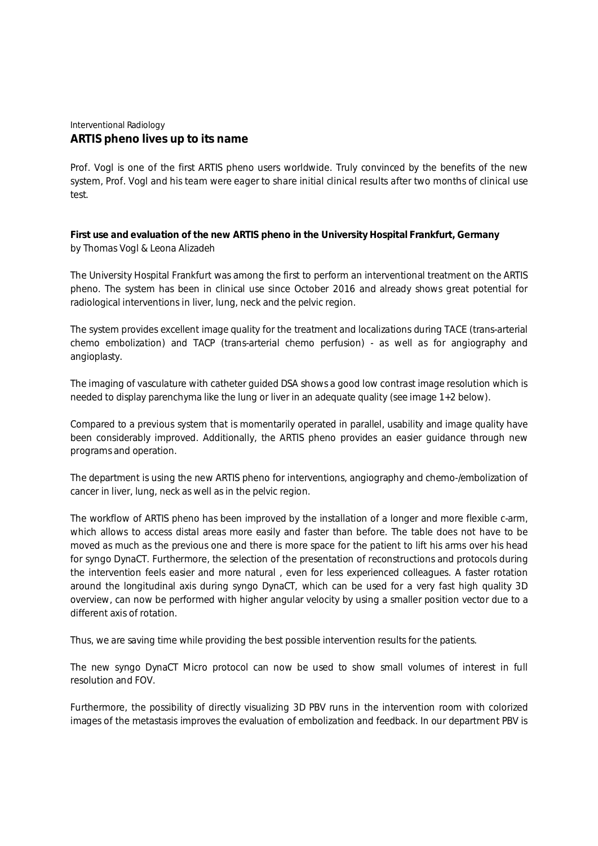## Interventional Radiology **ARTIS pheno lives up to its name**

*Prof. Vogl is one of the first ARTIS pheno users worldwide. Truly convinced by the benefits of the new system, Prof. Vogl and his team were eager to share initial clinical results after two months of clinical use test.*

**First use and evaluation of the new ARTIS pheno in the University Hospital Frankfurt, Germany** by Thomas Vogl & Leona Alizadeh

The University Hospital Frankfurt was among the first to perform an interventional treatment on the ARTIS pheno. The system has been in clinical use since October 2016 and already shows great potential for radiological interventions in liver, lung, neck and the pelvic region.

The system provides excellent image quality for the treatment and localizations during TACE (trans-arterial chemo embolization) and TACP (trans-arterial chemo perfusion) - as well as for angiography and angioplasty.

The imaging of vasculature with catheter guided DSA shows a good low contrast image resolution which is needed to display parenchyma like the lung or liver in an adequate quality (see image 1+2 below).

Compared to a previous system that is momentarily operated in parallel, usability and image quality have been considerably improved. Additionally, the ARTIS pheno provides an easier guidance through new programs and operation.

The department is using the new ARTIS pheno for interventions, angiography and chemo-/embolization of cancer in liver, lung, neck as well as in the pelvic region.

The workflow of ARTIS pheno has been improved by the installation of a longer and more flexible c-arm, which allows to access distal areas more easily and faster than before. The table does not have to be moved as much as the previous one and there is more space for the patient to lift his arms over his head for syngo DynaCT. Furthermore, the selection of the presentation of reconstructions and protocols during the intervention feels easier and more natural , even for less experienced colleagues. A faster rotation around the longitudinal axis during syngo DynaCT, which can be used for a very fast high quality 3D overview, can now be performed with higher angular velocity by using a smaller position vector due to a different axis of rotation.

Thus, we are saving time while providing the best possible intervention results for the patients.

The new syngo DynaCT Micro protocol can now be used to show small volumes of interest in full resolution and FOV.

Furthermore, the possibility of directly visualizing 3D PBV runs in the intervention room with colorized images of the metastasis improves the evaluation of embolization and feedback. In our department PBV is